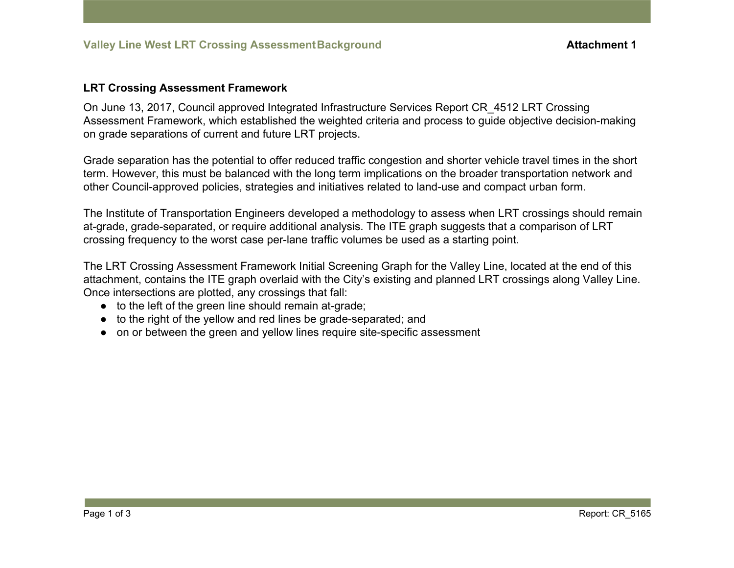## **LRT Crossing Assessment Framework**

On June 13, 2017, Council approved Integrated Infrastructure Services Report CR\_4512 LRT Crossing Assessment Framework, which established the weighted criteria and process to guide objective decision-making on grade separations of current and future LRT projects.

Grade separation has the potential to offer reduced traffic congestion and shorter vehicle travel times in the short term. However, this must be balanced with the long term implications on the broader transportation network and other Council-approved policies, strategies and initiatives related to land-use and compact urban form.

The Institute of Transportation Engineers developed a methodology to assess when LRT crossings should remain at-grade, grade-separated, or require additional analysis. The ITE graph suggests that a comparison of LRT crossing frequency to the worst case per-lane traffic volumes be used as a starting point.

The LRT Crossing Assessment Framework Initial Screening Graph for the Valley Line, located at the end of this attachment, contains the ITE graph overlaid with the City's existing and planned LRT crossings along Valley Line. Once intersections are plotted, any crossings that fall:

- to the left of the green line should remain at-grade;
- to the right of the yellow and red lines be grade-separated; and
- on or between the green and yellow lines require site-specific assessment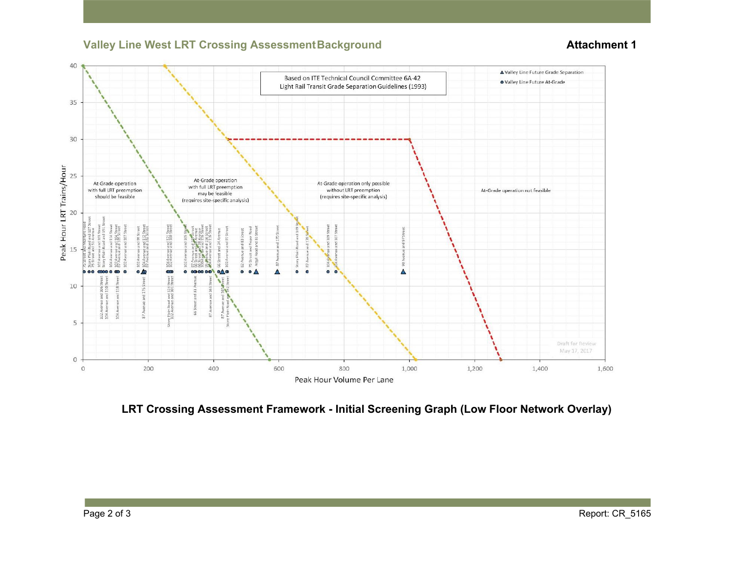## **Valley Line West LRT Crossing Assessment Background <b>Attachment 1**



**LRT Crossing Assessment Framework - Initial Screening Graph (Low Floor Network Overlay)**